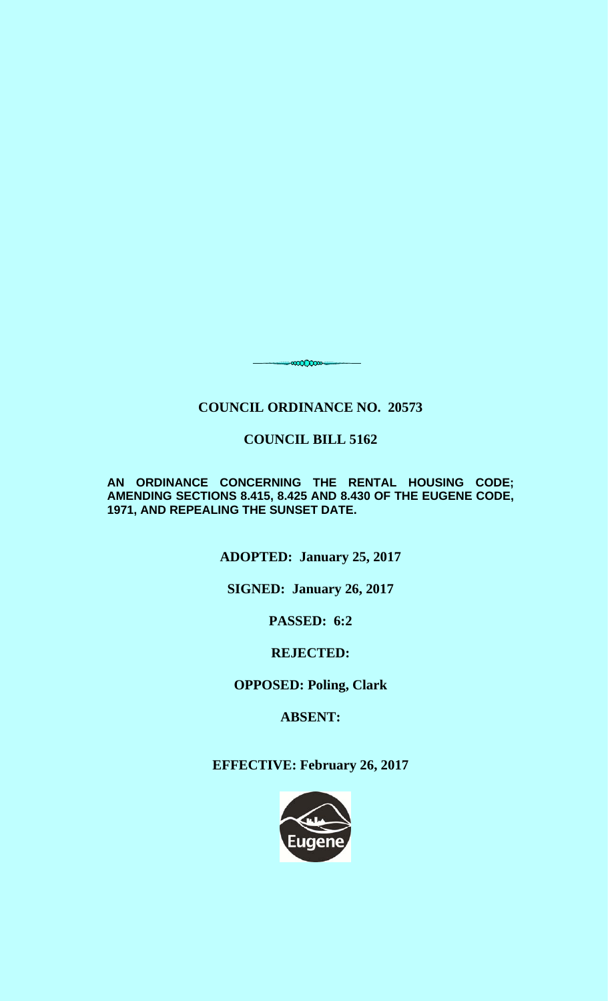# **COUNCIL ORDINANCE NO. 20573**

<del>,</del>∞∞∞∞

## **COUNCIL BILL 5162**

**AN ORDINANCE CONCERNING THE RENTAL HOUSING CODE; AMENDING SECTIONS 8.415, 8.425 AND 8.430 OF THE EUGENE CODE, 1971, AND REPEALING THE SUNSET DATE.**

**ADOPTED: January 25, 2017** 

**SIGNED: January 26, 2017** 

**PASSED: 6:2** 

## **REJECTED:**

**OPPOSED: Poling, Clark** 

**ABSENT:** 

**EFFECTIVE: February 26, 2017** 

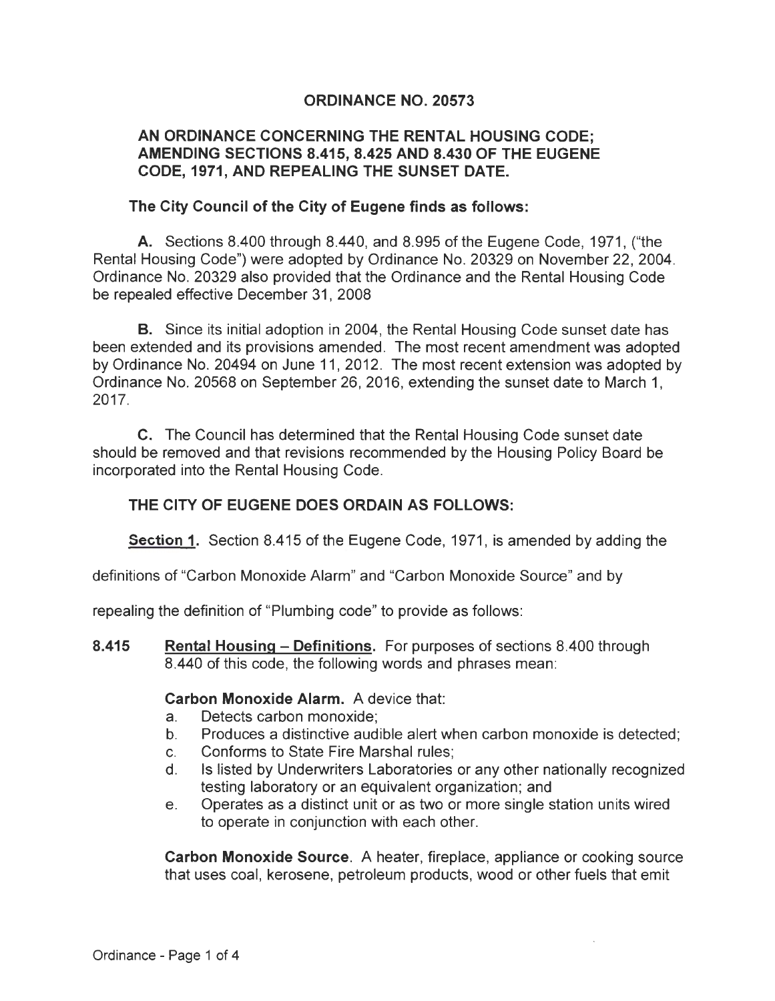### **ORDINANCE NO. 20573**

#### **AN ORDINANCE CONCERNING THE RENTAL HOUSING CODE; AMENDING SECTIONS 8.415, 8.425 AND 8.430 OF THE EUGENE CODE, 1971, AND REPEALING THE SUNSET DATE.**

#### **The City Council of the City of Eugene finds as follows:**

**A.** Sections 8.400 through 8.440, and 8.995 of the Eugene Code, 1971, ("the Rental Housing Code") were adopted by Ordinance No. 20329 on November 22, 2004. Ordinance No. 20329 also provided that the Ordinance and the Rental Housing Code be repealed effective December 31, 2008

**B.** Since its initial adoption in 2004, the Rental Housing Code sunset date has been extended and its provisions amended. The most recent amendment was adopted by Ordinance No. 20494 on June 11, 2012. The most recent extension was adopted by Ordinance No. 20568 on September 26, 2016, extending the sunset date to March 1, 2017.

C. The Council has determined that the Rental Housing Code sunset date should be removed and that revisions recommended by the Housing Policy Board be incorporated into the Rental Housing Code.

#### **THE CITY OF EUGENE DOES ORDAIN AS FOLLOWS:**

**Section 1.** Section 8.415 of the Eugene Code, 1971, is amended by adding the

definitions of "Carbon Monoxide Alarm" and "Carbon Monoxide Source" and by

repealing the definition of "Plumbing code" to provide as follows:

**8.415 Rental Housing- Definitions.** For purposes of sections 8.400 through 8.440 of this code, the following words and phrases mean:

#### **Carbon Monoxide Alarm.** A device that:

- a. Detects carbon monoxide;
- b. Produces a distinctive audible alert when carbon monoxide is detected;
- c. Conforms to State Fire Marshal rules;
- d. Is listed by Underwriters Laboratories or any other nationally recognized testing laboratory or an equivalent organization; and
- e. Operates as a distinct unit or as two or more single station units wired to operate in conjunction with each other.

**Carbon Monoxide Source.** A heater, fireplace, appliance or cooking source that uses coal, kerosene, petroleum products, wood or other fuels that emit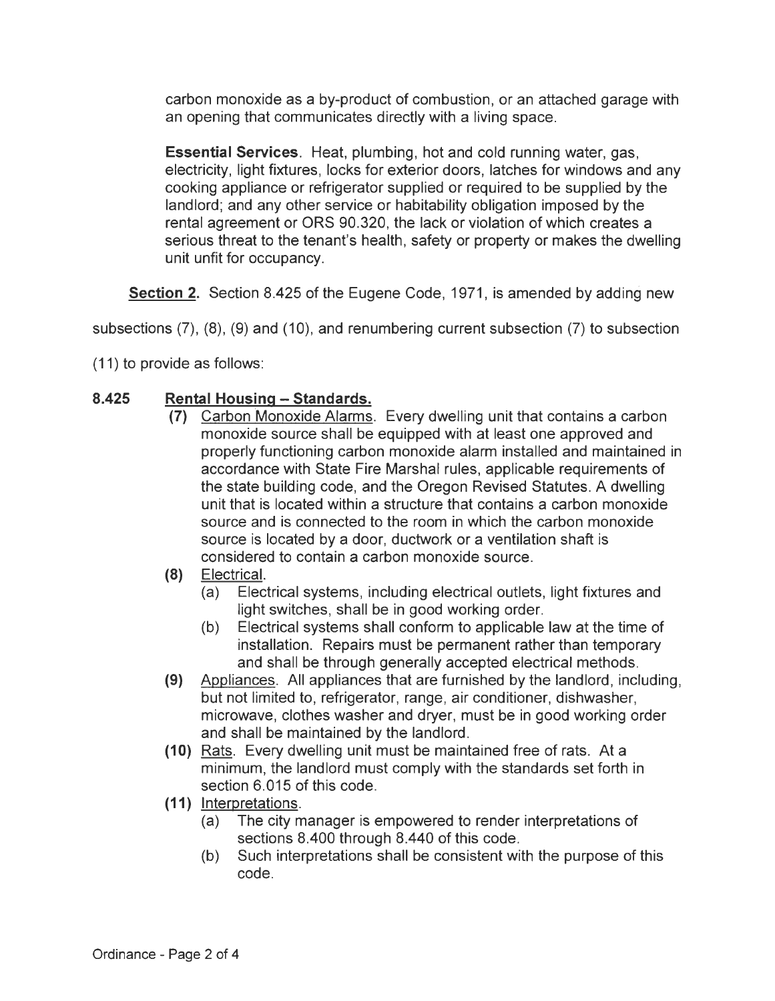carbon monoxide as a by-product of combustion, or an attached garage with an opening that communicates directly with a living space.

**Essential Services.** Heat, plumbing, hot and cold running water, gas, electricity, light fixtures, locks for exterior doors, latches for windows and any cooking appliance or refrigerator supplied or required to be supplied by the landlord; and any other service or habitability obligation imposed by the rental agreement or ORS 90.320, the lack or violation of which creates a serious threat to the tenant's health, safety or property or makes the dwelling unit unfit for occupancy.

**Section 2.** Section 8.425 of the Eugene Code, 1971 , is amended by adding new

subsections  $(7)$ ,  $(8)$ ,  $(9)$  and  $(10)$ , and renumbering current subsection  $(7)$  to subsection

(11) to provide as follows:

## **8.425 Rental Housing -Standards.**

- **(7)** Carbon Monoxide Alarms. Every dwelling unit that contains a carbon monoxide source shall be equipped with at least one approved and properly functioning carbon monoxide alarm installed and maintained in accordance with State Fire Marshal rules, applicable requirements of the state building code, and the Oregon Revised Statutes. A dwelling unit that is located within a structure that contains a carbon monoxide source and is connected to the room in which the carbon monoxide source is located by a door, ductwork or a ventilation shaft is considered to contain a carbon monoxide source.
- **(8)** Electrical.
	- (a) Electrical systems, including electrical outlets, light fixtures and light switches, shall be in good working order.
	- (b) Electrical systems shall conform to applicable law at the time of installation. Repairs must be permanent rather than temporary and shall be through generally accepted electrical methods.
- **(9)** Appliances. All appliances that are furnished by the landlord, including, but not limited to, refrigerator, range, air conditioner, dishwasher, microwave, clothes washer and dryer, must be in good working order and shall be maintained by the landlord.
- **(1 0)** Rats. Every dwelling unit must be maintained free of rats. At a minimum, the landlord must comply with the standards set forth in section 6.015 of this code.
- **(11)** Interpretations.
	- (a) The city manager is empowered to render interpretations of sections 8.400 through 8.440 of this code.
	- (b) Such interpretations shall be consistent with the purpose of this code.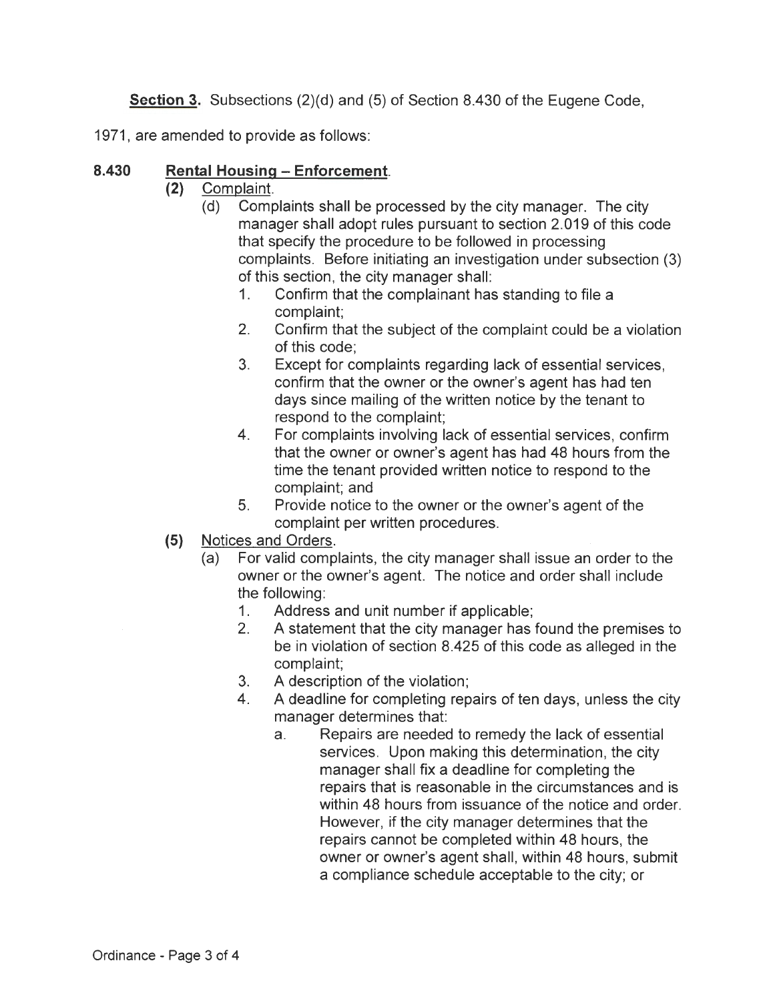**Section** 3. Subsections (2)(d) and (5) of Section 8.430 of the Eugene Code,

1971, are amended to provide as follows:

### **8.430 Rental Housing - Enforcement.**

- **(2)** Complaint.
	- (d) Complaints shall be processed by the city manager. The city manager shall adopt rules pursuant to section 2.019 of this code that specify the procedure to be followed in processing complaints. Before initiating an investigation under subsection (3) of this section, the city manager shall:
		- 1. Confirm that the complainant has standing to file a complaint;
		- 2. Confirm that the subject of the complaint could be a violation of this code;
		- 3. Except for complaints regarding lack of essential services, confirm that the owner or the owner's agent has had ten days since mailing of the written notice by the tenant to respond to the complaint;
		- 4. For complaints involving lack of essential services, confirm that the owner or owner's agent has had 48 hours from the time the tenant provided written notice to respond to the complaint; and
		- 5. Provide notice to the owner or the owner's agent of the complaint per written procedures.
- **(5)** Notices and Orders.
	- (a) For valid complaints, the city manager shall issue an order to the owner or the owner's agent. The notice and order shall include the following:
		- 1. Address and unit number if applicable;
		- 2. A statement that the city manager has found the premises to be in violation of section 8.425 of this code as alleged in the complaint;
		- 3. A description of the violation;
		- 4. A deadline for completing repairs of ten days, unless the city manager determines that:
			- a. Repairs are needed to remedy the lack of essential services. Upon making this determination, the city manager shall fix a deadline for completing the repairs that is reasonable in the circumstances and is within 48 hours from issuance of the notice and order. However, if the city manager determines that the repairs cannot be completed within 48 hours, the owner or owner's agent shall, within 48 hours, submit a compliance schedule acceptable to the city; or